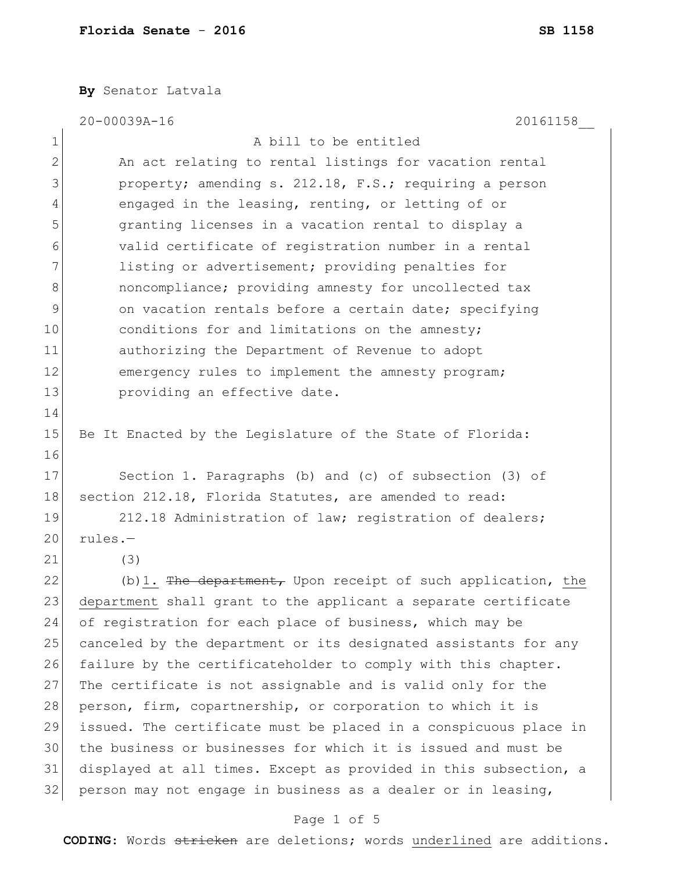**By** Senator Latvala

|               | 20-00039A-16<br>20161158                                         |
|---------------|------------------------------------------------------------------|
| 1             | A bill to be entitled                                            |
| $\mathbf{2}$  | An act relating to rental listings for vacation rental           |
| 3             | property; amending s. 212.18, F.S.; requiring a person           |
| 4             | engaged in the leasing, renting, or letting of or                |
| 5             | granting licenses in a vacation rental to display a              |
| 6             | valid certificate of registration number in a rental             |
| 7             | listing or advertisement; providing penalties for                |
| 8             | noncompliance; providing amnesty for uncollected tax             |
| $\mathcal{G}$ | on vacation rentals before a certain date; specifying            |
| 10            | conditions for and limitations on the amnesty;                   |
| 11            | authorizing the Department of Revenue to adopt                   |
| 12            | emergency rules to implement the amnesty program;                |
| 13            | providing an effective date.                                     |
| 14            |                                                                  |
| 15            | Be It Enacted by the Legislature of the State of Florida:        |
| 16            |                                                                  |
| 17            | Section 1. Paragraphs (b) and (c) of subsection (3) of           |
| 18            | section 212.18, Florida Statutes, are amended to read:           |
| 19            | 212.18 Administration of law; registration of dealers;           |
| 20            | rules.-                                                          |
| 21            | (3)                                                              |
| 22            | $(b)$ 1. The department, Upon receipt of such application, the   |
| 23            | department shall grant to the applicant a separate certificate   |
| 24            | of registration for each place of business, which may be         |
| 25            | canceled by the department or its designated assistants for any  |
| 26            | failure by the certificateholder to comply with this chapter.    |
| 27            | The certificate is not assignable and is valid only for the      |
| 28            | person, firm, copartnership, or corporation to which it is       |
| 29            | issued. The certificate must be placed in a conspicuous place in |
| 30            | the business or businesses for which it is issued and must be    |
| 31            | displayed at all times. Except as provided in this subsection, a |
| 32            | person may not engage in business as a dealer or in leasing,     |
|               | Page 1 of 5                                                      |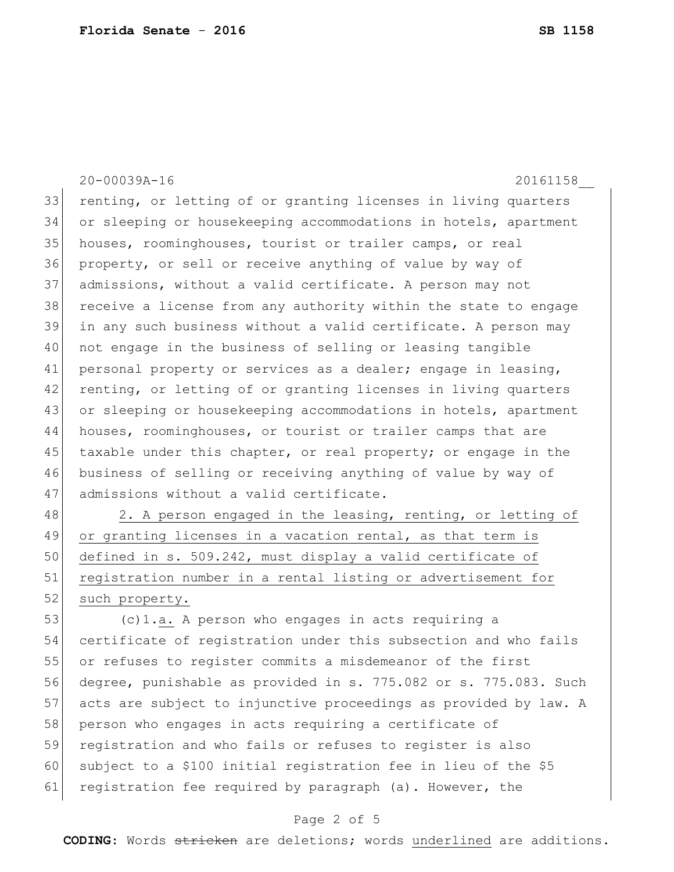20-00039A-16 20161158\_\_ 33 renting, or letting of or granting licenses in living quarters 34 or sleeping or housekeeping accommodations in hotels, apartment 35 houses, roominghouses, tourist or trailer camps, or real 36 property, or sell or receive anything of value by way of 37 admissions, without a valid certificate. A person may not 38 receive a license from any authority within the state to engage 39 in any such business without a valid certificate. A person may 40 not engage in the business of selling or leasing tangible 41 personal property or services as a dealer; engage in leasing, 42 renting, or letting of or granting licenses in living quarters 43 or sleeping or housekeeping accommodations in hotels, apartment 44 houses, roominghouses, or tourist or trailer camps that are 45 taxable under this chapter, or real property; or engage in the 46 business of selling or receiving anything of value by way of 47 admissions without a valid certificate. 48 2. A person engaged in the leasing, renting, or letting of 49 or granting licenses in a vacation rental, as that term is

50 defined in s. 509.242, must display a valid certificate of 51 registration number in a rental listing or advertisement for 52 such property.

 (c)1.a. A person who engages in acts requiring a certificate of registration under this subsection and who fails or refuses to register commits a misdemeanor of the first degree, punishable as provided in s. 775.082 or s. 775.083. Such acts are subject to injunctive proceedings as provided by law. A 58 person who engages in acts requiring a certificate of registration and who fails or refuses to register is also subject to a \$100 initial registration fee in lieu of the \$5 61 registration fee required by paragraph (a). However, the

## Page 2 of 5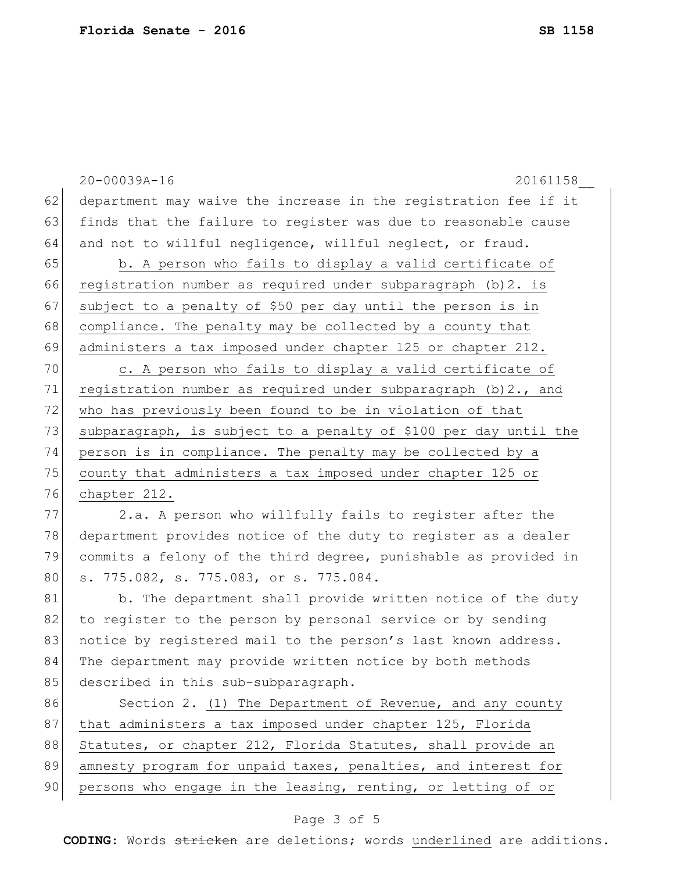```
20-00039A-16 20161158__
62 department may waive the increase in the registration fee if it
63 finds that the failure to register was due to reasonable cause
64 and not to willful negligence, willful neglect, or fraud.
65 b. A person who fails to display a valid certificate of
66 registration number as required under subparagraph (b)2. is 
67 subject to a penalty of $50 per day until the person is in
68 compliance. The penalty may be collected by a county that
69 administers a tax imposed under chapter 125 or chapter 212.
70 c. A person who fails to display a valid certificate of
71 registration number as required under subparagraph (b) 2., and
72 who has previously been found to be in violation of that
73 subparagraph, is subject to a penalty of $100 per day until the
74 person is in compliance. The penalty may be collected by a 
75 county that administers a tax imposed under chapter 125 or
76 chapter 212.
77 2.a. A person who willfully fails to register after the
78 department provides notice of the duty to register as a dealer 
79 commits a felony of the third degree, punishable as provided in 
80 s. 775.082, s. 775.083, or s. 775.084.
81 b. The department shall provide written notice of the duty
82 to register to the person by personal service or by sending
83 notice by registered mail to the person's last known address.
```
84 The department may provide written notice by both methods 85 described in this sub-subparagraph.

86 Section 2. (1) The Department of Revenue, and any county 87 that administers a tax imposed under chapter 125, Florida 88 Statutes, or chapter 212, Florida Statutes, shall provide an 89 amnesty program for unpaid taxes, penalties, and interest for 90 persons who engage in the leasing, renting, or letting of or

## Page 3 of 5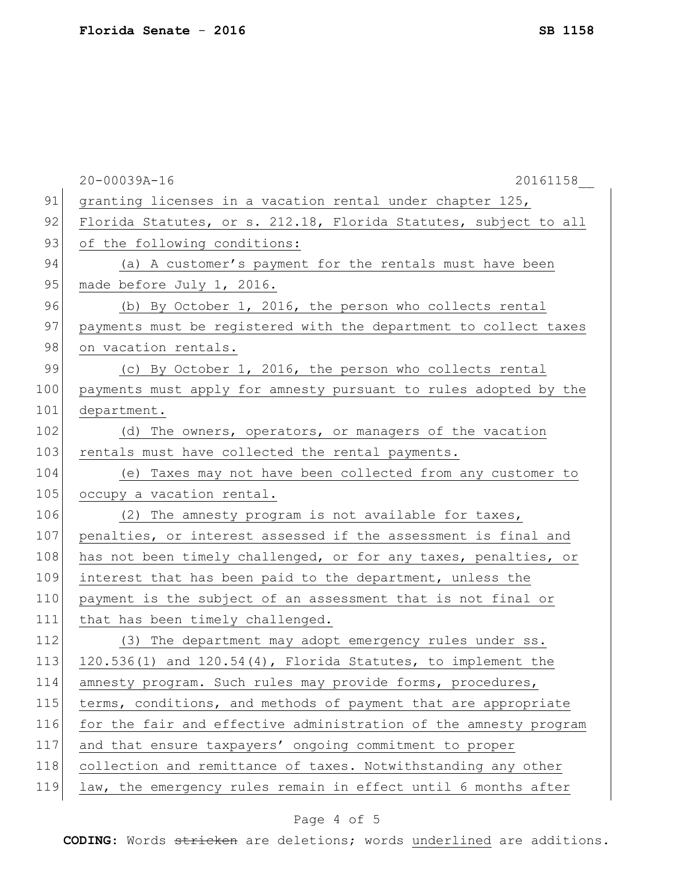|     | $20 - 00039A - 16$<br>20161158                                    |
|-----|-------------------------------------------------------------------|
| 91  | granting licenses in a vacation rental under chapter 125,         |
| 92  | Florida Statutes, or s. 212.18, Florida Statutes, subject to all  |
| 93  | of the following conditions:                                      |
| 94  | (a) A customer's payment for the rentals must have been           |
| 95  | made before July 1, 2016.                                         |
| 96  | (b) By October 1, 2016, the person who collects rental            |
| 97  | payments must be registered with the department to collect taxes  |
| 98  | on vacation rentals.                                              |
| 99  | (c) By October 1, 2016, the person who collects rental            |
| 100 | payments must apply for amnesty pursuant to rules adopted by the  |
| 101 | department.                                                       |
| 102 | (d) The owners, operators, or managers of the vacation            |
| 103 | rentals must have collected the rental payments.                  |
| 104 | (e) Taxes may not have been collected from any customer to        |
| 105 | occupy a vacation rental.                                         |
| 106 | (2) The amnesty program is not available for taxes,               |
| 107 | penalties, or interest assessed if the assessment is final and    |
| 108 | has not been timely challenged, or for any taxes, penalties, or   |
| 109 | interest that has been paid to the department, unless the         |
| 110 | payment is the subject of an assessment that is not final or      |
| 111 | that has been timely challenged.                                  |
| 112 | (3) The department may adopt emergency rules under ss.            |
| 113 | $120.536(1)$ and $120.54(4)$ , Florida Statutes, to implement the |
| 114 | amnesty program. Such rules may provide forms, procedures,        |
| 115 | terms, conditions, and methods of payment that are appropriate    |
| 116 | for the fair and effective administration of the amnesty program  |
| 117 | and that ensure taxpayers' ongoing commitment to proper           |
| 118 | collection and remittance of taxes. Notwithstanding any other     |
| 119 | law, the emergency rules remain in effect until 6 months after    |
|     |                                                                   |

## Page 4 of 5